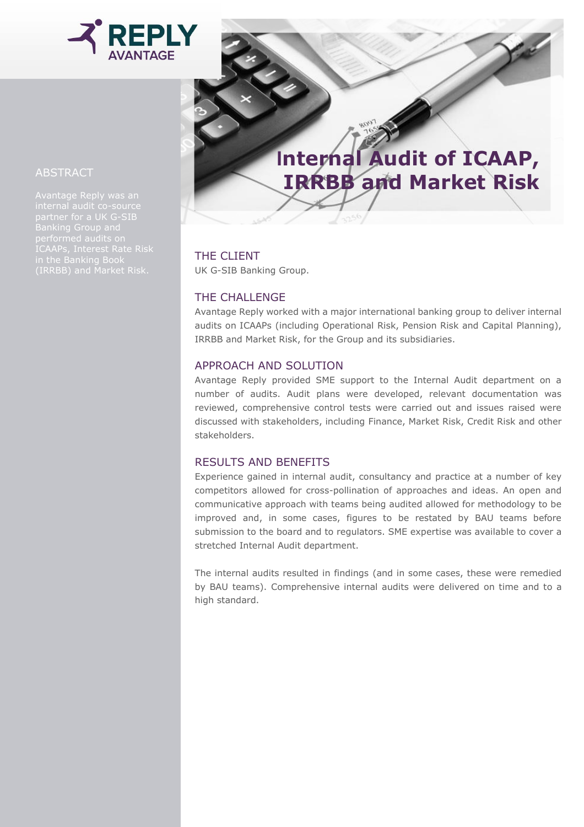

# **Internal Audit of ICAAP, IRRBB and Market Risk**

## THE CLIENT

UK G-SIB Banking Group.

## THE CHALLENGE

Avantage Reply worked with a major international banking group to deliver internal audits on ICAAPs (including Operational Risk, Pension Risk and Capital Planning), IRRBB and Market Risk, for the Group and its subsidiaries.

#### APPROACH AND SOLUTION

Avantage Reply provided SME support to the Internal Audit department on a number of audits. Audit plans were developed, relevant documentation was reviewed, comprehensive control tests were carried out and issues raised were discussed with stakeholders, including Finance, Market Risk, Credit Risk and other stakeholders.

## RESULTS AND BENEFITS

Experience gained in internal audit, consultancy and practice at a number of key competitors allowed for cross-pollination of approaches and ideas. An open and communicative approach with teams being audited allowed for methodology to be improved and, in some cases, figures to be restated by BAU teams before submission to the board and to regulators. SME expertise was available to cover a stretched Internal Audit department.

The internal audits resulted in findings (and in some cases, these were remedied by BAU teams). Comprehensive internal audits were delivered on time and to a high standard.

### ABSTRACT

Avantage Reply was an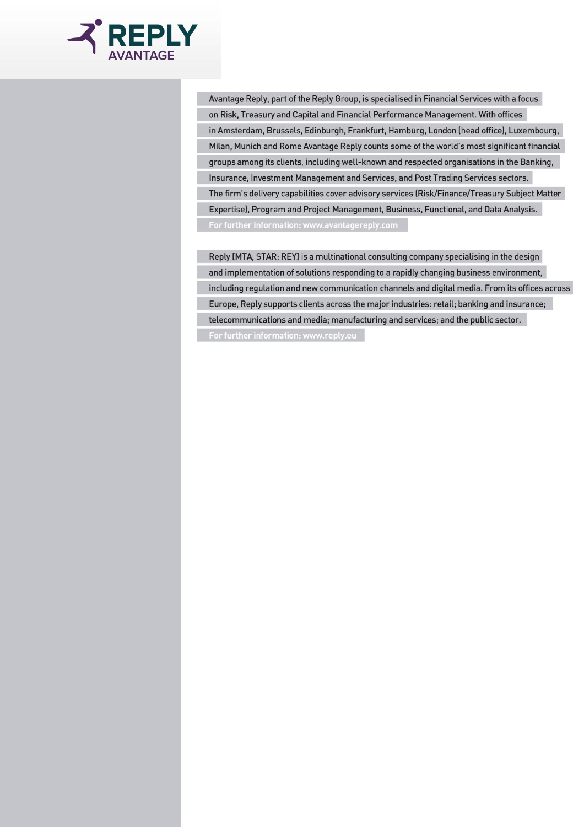

Avantage Reply, part of the Reply Group, is specialised in Financial Services with a focus on Risk, Treasury and Capital and Financial Performance Management. With offices in Amsterdam, Brussels, Edinburgh, Frankfurt, Hamburg, London (head office), Luxembourg, Milan, Munich and Rome Avantage Reply counts some of the world's most significant financial groups among its clients, including well-known and respected organisations in the Banking, Insurance, Investment Management and Services, and Post Trading Services sectors. The firm's delivery capabilities cover advisory services (Risk/Finance/Treasury Subject Matter Expertise), Program and Project Management, Business, Functional, and Data Analysis. For further information: www.avantagereply.com

Reply [MTA, STAR: REY] is a multinational consulting company specialising in the design and implementation of solutions responding to a rapidly changing business environment, including regulation and new communication channels and digital media. From its offices across Europe, Reply supports clients across the major industries: retail; banking and insurance; telecommunications and media; manufacturing and services; and the public sector.

For further information: www.reply.eu